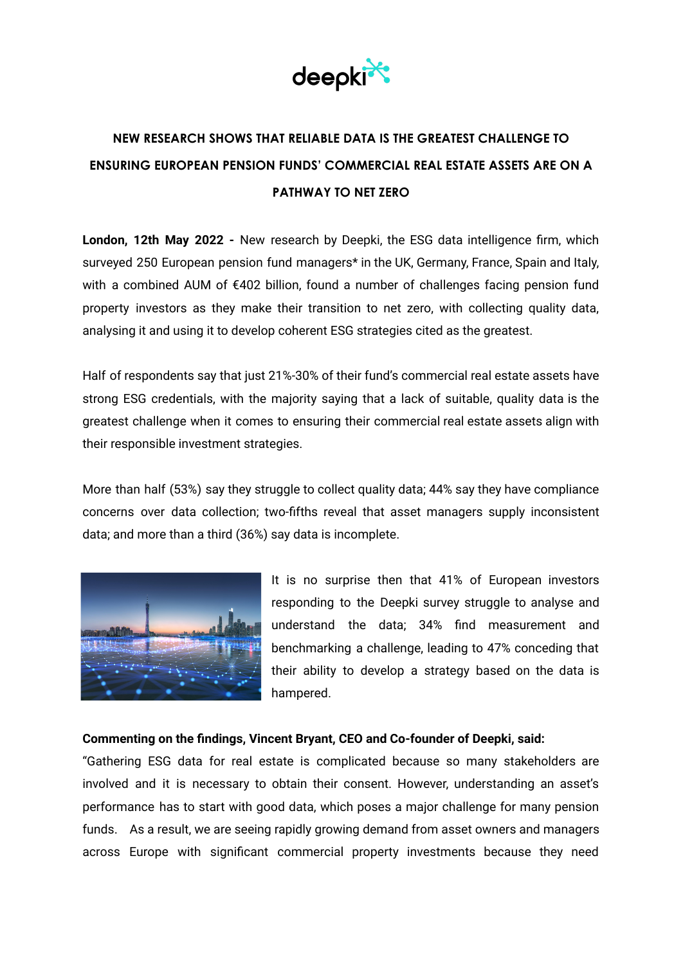

# **NEW RESEARCH SHOWS THAT RELIABLE DATA IS THE GREATEST CHALLENGE TO ENSURING EUROPEAN PENSION FUNDS' COMMERCIAL REAL ESTATE ASSETS ARE ON A PATHWAY TO NET ZERO**

**London, 12th May 2022 -** New research by Deepki, the ESG data intelligence firm, which surveyed 250 European pension fund managers\* in the UK, Germany, France, Spain and Italy, with a combined AUM of €402 billion, found a number of challenges facing pension fund property investors as they make their transition to net zero, with collecting quality data, analysing it and using it to develop coherent ESG strategies cited as the greatest.

Half of respondents say that just 21%-30% of their fund's commercial real estate assets have strong ESG credentials, with the majority saying that a lack of suitable, quality data is the greatest challenge when it comes to ensuring their commercial real estate assets align with their responsible investment strategies.

More than half (53%) say they struggle to collect quality data; 44% say they have compliance concerns over data collection; two-fifths reveal that asset managers supply inconsistent data; and more than a third (36%) say data is incomplete.



It is no surprise then that 41% of European investors responding to the Deepki survey struggle to analyse and understand the data; 34% find measurement and benchmarking a challenge, leading to 47% conceding that their ability to develop a strategy based on the data is hampered.

#### **Commenting on the findings, Vincent Bryant, CEO and Co-founder of Deepki, said:**

"Gathering ESG data for real estate is complicated because so many stakeholders are involved and it is necessary to obtain their consent. However, understanding an asset's performance has to start with good data, which poses a major challenge for many pension funds. As a result, we are seeing rapidly growing demand from asset owners and managers across Europe with significant commercial property investments because they need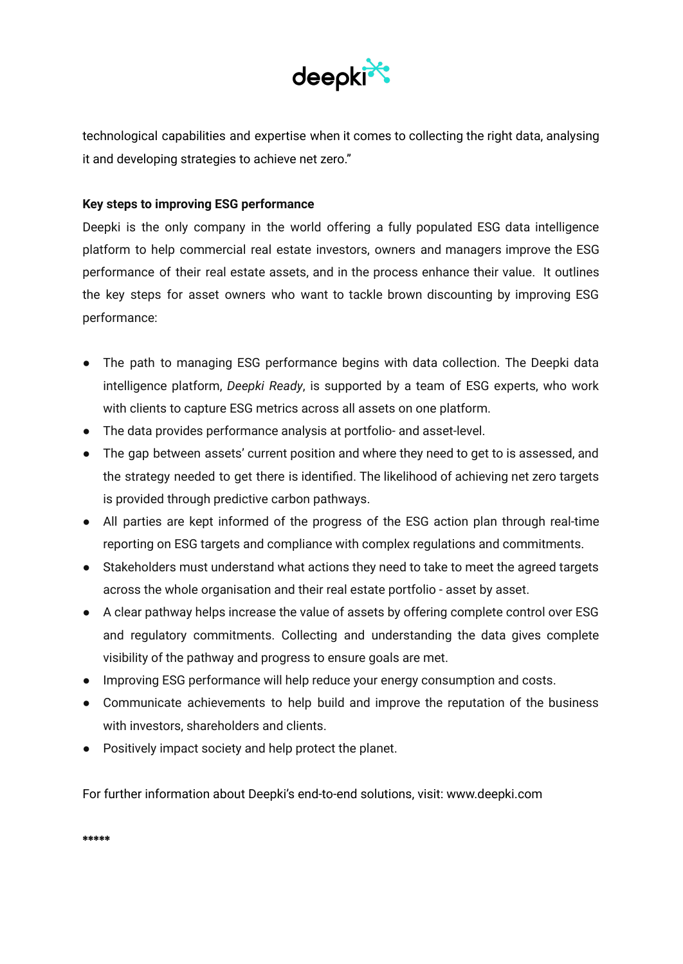

technological capabilities and expertise when it comes to collecting the right data, analysing it and developing strategies to achieve net zero."

### **Key steps to improving ESG performance**

Deepki is the only company in the world offering a fully populated ESG data intelligence platform to help commercial real estate investors, owners and managers improve the ESG performance of their real estate assets, and in the process enhance their value. It outlines the key steps for asset owners who want to tackle brown discounting by improving ESG performance:

- The path to managing ESG performance begins with data collection. The Deepki data intelligence platform, *Deepki Ready*, is supported by a team of ESG experts, who work with clients to capture ESG metrics across all assets on one platform.
- The data provides performance analysis at portfolio- and asset-level.
- The gap between assets' current position and where they need to get to is assessed, and the strategy needed to get there is identified. The likelihood of achieving net zero targets is provided through predictive carbon pathways.
- All parties are kept informed of the progress of the ESG action plan through real-time reporting on ESG targets and compliance with complex regulations and commitments.
- Stakeholders must understand what actions they need to take to meet the agreed targets across the whole organisation and their real estate portfolio - asset by asset.
- A clear pathway helps increase the value of assets by offering complete control over ESG and regulatory commitments. Collecting and understanding the data gives complete visibility of the pathway and progress to ensure goals are met.
- Improving ESG performance will help reduce your energy consumption and costs.
- Communicate achievements to help build and improve the reputation of the business with investors, shareholders and clients.
- Positively impact society and help protect the planet.

For further information about Deepki's end-to-end solutions, visit: www.deepki.com

**\*\*\*\*\***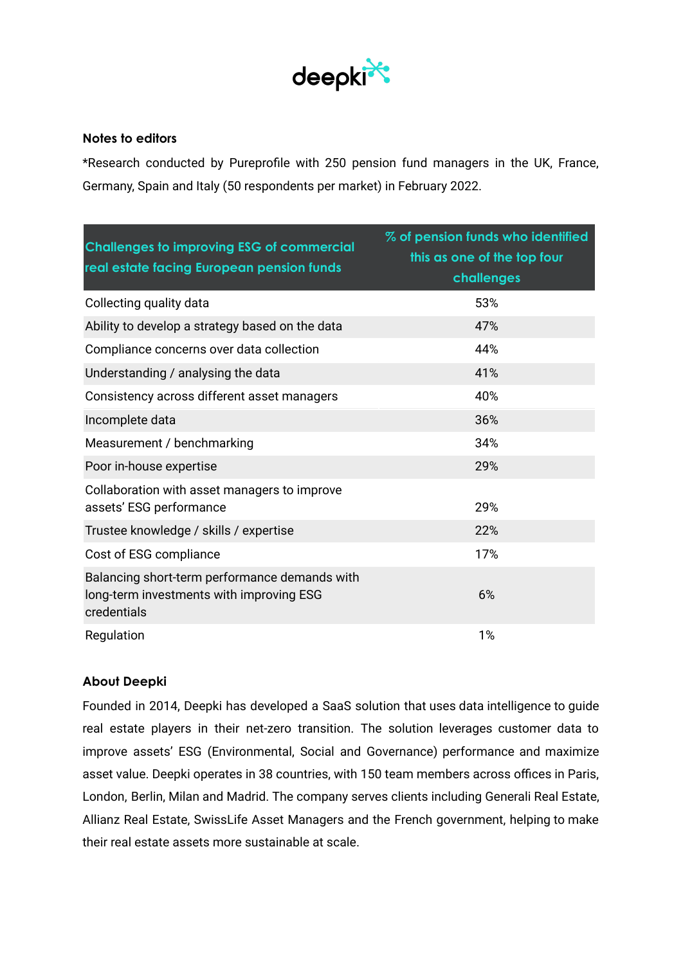

#### **Notes to editors**

\*Research conducted by Pureprofile with 250 pension fund managers in the UK, France, Germany, Spain and Italy (50 respondents per market) in February 2022.

| <b>Challenges to improving ESG of commercial</b><br>real estate facing European pension funds            | % of pension funds who identified<br>this as one of the top four<br>challenges |
|----------------------------------------------------------------------------------------------------------|--------------------------------------------------------------------------------|
| Collecting quality data                                                                                  | 53%                                                                            |
| Ability to develop a strategy based on the data                                                          | 47%                                                                            |
| Compliance concerns over data collection                                                                 | 44%                                                                            |
| Understanding / analysing the data                                                                       | 41%                                                                            |
| Consistency across different asset managers                                                              | 40%                                                                            |
| Incomplete data                                                                                          | 36%                                                                            |
| Measurement / benchmarking                                                                               | 34%                                                                            |
| Poor in-house expertise                                                                                  | 29%                                                                            |
| Collaboration with asset managers to improve<br>assets' ESG performance                                  | 29%                                                                            |
| Trustee knowledge / skills / expertise                                                                   | 22%                                                                            |
| Cost of ESG compliance                                                                                   | 17%                                                                            |
| Balancing short-term performance demands with<br>long-term investments with improving ESG<br>credentials | 6%                                                                             |
| Regulation                                                                                               | 1%                                                                             |

## **About Deepki**

Founded in 2014, Deepki has developed a SaaS solution that uses data intelligence to guide real estate players in their net-zero transition. The solution leverages customer data to improve assets' ESG (Environmental, Social and Governance) performance and maximize asset value. Deepki operates in 38 countries, with 150 team members across offices in Paris, London, Berlin, Milan and Madrid. The company serves clients including Generali Real Estate, Allianz Real Estate, SwissLife Asset Managers and the French government, helping to make their real estate assets more sustainable at scale.